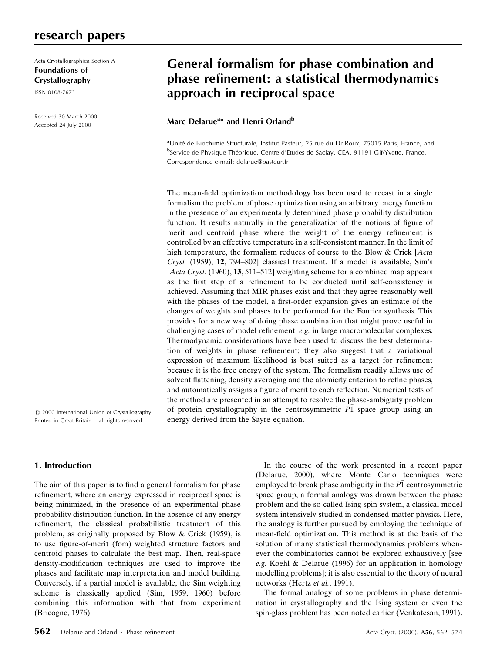# research papers

Acta Crystallographica Section A Foundations of Crystallography

ISSN 0108-7673

Received 30 March 2000 Accepted 24 July 2000

# General formalism for phase combination and phase refinement: a statistical thermodynamics approach in reciprocal space

Marc Delarue<sup>a</sup>\* and Henri Orland<sup>b</sup>

aUnité de Biochimie Structurale, Institut Pasteur, 25 rue du Dr Roux, 75015 Paris, France, and bService de Physique Théorique, Centre d'Etudes de Saclay, CEA, 91191 Gif/Yvette, France. Correspondence e-mail: delarue@pasteur.fr

The mean-field optimization methodology has been used to recast in a single formalism the problem of phase optimization using an arbitrary energy function in the presence of an experimentally determined phase probability distribution function. It results naturally in the generalization of the notions of figure of merit and centroid phase where the weight of the energy refinement is controlled by an effective temperature in a self-consistent manner. In the limit of high temperature, the formalism reduces of course to the Blow & Crick [Acta] Cryst. (1959),  $12$ , 794-802] classical treatment. If a model is available, Sim's [ $Acta Cryst.$  (1960), 13, 511–512] weighting scheme for a combined map appears as the first step of a refinement to be conducted until self-consistency is achieved. Assuming that MIR phases exist and that they agree reasonably well with the phases of the model, a first-order expansion gives an estimate of the changes of weights and phases to be performed for the Fourier synthesis. This provides for a new way of doing phase combination that might prove useful in challenging cases of model refinement,  $e.g.$  in large macromolecular complexes. Thermodynamic considerations have been used to discuss the best determination of weights in phase refinement; they also suggest that a variational expression of maximum likelihood is best suited as a target for refinement because it is the free energy of the system. The formalism readily allows use of solvent flattening, density averaging and the atomicity criterion to refine phases, and automatically assigns a figure of merit to each reflection. Numerical tests of the method are presented in an attempt to resolve the phase-ambiguity problem of protein crystallography in the centrosymmetric  $\overline{P1}$  space group using an energy derived from the Sayre equation.

 $\odot$  2000 International Union of Crystallography Printed in Great Britain - all rights reserved

## 1. Introduction

The aim of this paper is to find a general formalism for phase refinement, where an energy expressed in reciprocal space is being minimized, in the presence of an experimental phase probability distribution function. In the absence of any energy refinement, the classical probabilistic treatment of this problem, as originally proposed by Blow & Crick (1959), is to use figure-of-merit (fom) weighted structure factors and centroid phases to calculate the best map. Then, real-space density-modification techniques are used to improve the phases and facilitate map interpretation and model building. Conversely, if a partial model is available, the Sim weighting scheme is classically applied (Sim, 1959, 1960) before combining this information with that from experiment (Bricogne, 1976).

In the course of the work presented in a recent paper (Delarue, 2000), where Monte Carlo techniques were employed to break phase ambiguity in the  $\overline{P1}$  centrosymmetric space group, a formal analogy was drawn between the phase problem and the so-called Ising spin system, a classical model system intensively studied in condensed-matter physics. Here, the analogy is further pursued by employing the technique of mean-field optimization. This method is at the basis of the solution of many statistical thermodynamics problems whenever the combinatorics cannot be explored exhaustively [see e.g. Koehl & Delarue (1996) for an application in homology modelling problems]; it is also essential to the theory of neural networks (Hertz et al., 1991).

The formal analogy of some problems in phase determination in crystallography and the Ising system or even the spin-glass problem has been noted earlier (Venkatesan, 1991).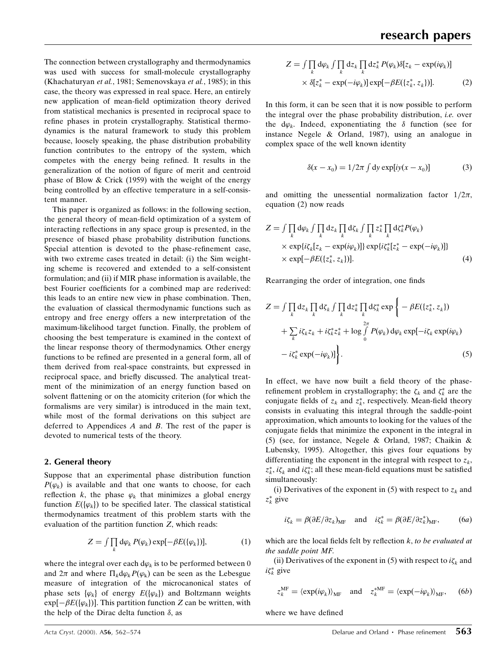The connection between crystallography and thermodynamics was used with success for small-molecule crystallography (Khachaturyan et al., 1981; Semenovskaya et al., 1985); in this case, the theory was expressed in real space. Here, an entirely new application of mean-field optimization theory derived from statistical mechanics is presented in reciprocal space to refine phases in protein crystallography. Statistical thermodynamics is the natural framework to study this problem because, loosely speaking, the phase distribution probability function contributes to the entropy of the system, which competes with the energy being refined. It results in the generalization of the notion of figure of merit and centroid phase of Blow & Crick (1959) with the weight of the energy being controlled by an effective temperature in a self-consistent manner.

This paper is organized as follows: in the following section, the general theory of mean-field optimization of a system of interacting reflections in any space group is presented, in the presence of biased phase probability distribution functions. Special attention is devoted to the phase-refinement case, with two extreme cases treated in detail: (i) the Sim weighting scheme is recovered and extended to a self-consistent formulation; and (ii) if MIR phase information is available, the best Fourier coefficients for a combined map are rederived: this leads to an entire new view in phase combination. Then, the evaluation of classical thermodynamic functions such as entropy and free energy offers a new interpretation of the maximum-likelihood target function. Finally, the problem of choosing the best temperature is examined in the context of the linear response theory of thermodynamics. Other energy functions to be refined are presented in a general form, all of them derived from real-space constraints, but expressed in reciprocal space, and briefly discussed. The analytical treatment of the minimization of an energy function based on solvent flattening or on the atomicity criterion (for which the formalisms are very similar) is introduced in the main text, while most of the formal derivations on this subject are deferred to Appendices A and B. The rest of the paper is devoted to numerical tests of the theory.

#### 2. General theory

Suppose that an experimental phase distribution function  $P(\varphi_k)$  is available and that one wants to choose, for each reflection k, the phase  $\varphi_k$  that minimizes a global energy function  $E(\{\varphi_k\})$  to be specified later. The classical statistical thermodynamics treatment of this problem starts with the evaluation of the partition function Z, which reads:

$$
Z = \int \prod_{k} d\varphi_k \, P(\varphi_k) \exp[-\beta E(\{\varphi_k\})],\tag{1}
$$

where the integral over each  $d\varphi_k$  is to be performed between 0 and  $2\pi$  and where  $\Pi_k d\varphi_k P(\varphi_k)$  can be seen as the Lebesgue measure of integration of the microcanonical states of phase sets  $\{\varphi_k\}$  of energy  $E(\{\varphi_k\})$  and Boltzmann weights  $\exp[-\beta E({\varphi_k})]$ . This partition function Z can be written, with the help of the Dirac delta function  $\delta$ , as

$$
Z = \int \prod_k d\varphi_k \int \prod_k dz_k \prod_k dz_k^* P(\varphi_k) \delta[z_k - \exp(i\varphi_k)]
$$
  
 
$$
\times \delta[z_k^* - \exp(-i\varphi_k)] \exp[-\beta E(\{z_k^*, z_k\})].
$$
 (2)

In this form, it can be seen that it is now possible to perform the integral over the phase probability distribution, i.e. over the  $d\varphi_k$ . Indeed, exponentiating the  $\delta$  function (see for instance Negele & Orland, 1987), using an analogue in complex space of the well known identity

$$
\delta(x - x_0) = 1/2\pi \int dy \exp[iy(x - x_0)] \tag{3}
$$

and omitting the unessential normalization factor  $1/2\pi$ , equation (2) now reads

$$
Z = \int \prod_k d\varphi_k \int \prod_k dz_k \prod_k d\zeta_k \int \prod_k z_k^* \prod_k d\zeta_k^* P(\varphi_k)
$$
  
×  $\exp\{i\zeta_k[z_k - \exp(i\varphi_k)]\} \exp\{i\zeta_k^* [z_k^* - \exp(-i\varphi_k)]\}$   
×  $\exp[-\beta E(\{z_k^*, z_k\})].$  (4)

Rearranging the order of integration, one finds

$$
Z = \int \prod_k dz_k \prod_k d\zeta_k \int \prod_k dz_k^* \prod_k d\zeta_k^* \exp \left\{ - \beta E(\{z_k^*, z_k\}) + \sum_k i\zeta_k z_k + i\zeta_k^* z_k^* + \log \int_0^{2\pi} P(\varphi_k) d\varphi_k \exp[-i\zeta_k \exp(i\varphi_k) - i\zeta_k^* \exp(-i\varphi_k)] \right\}.
$$
\n(5)

In effect, we have now built a field theory of the phaserefinement problem in crystallography; the  $\zeta_k$  and  $\zeta_k^*$  are the conjugate fields of  $z_k$  and  $z_k^*$ , respectively. Mean-field theory consists in evaluating this integral through the saddle-point approximation, which amounts to looking for the values of the conjugate fields that minimize the exponent in the integral in (5) (see, for instance, Negele & Orland, 1987; Chaikin & Lubensky, 1995). Altogether, this gives four equations by differentiating the exponent in the integral with respect to  $z_k$ ,  $z_k^*$ ,  $i\zeta_k$  and  $i\zeta_k^*$ ; all these mean-field equations must be satisfied simultaneously:

(i) Derivatives of the exponent in (5) with respect to  $z_k$  and  $z_k^*$  give

$$
i\zeta_k = \beta(\partial E/\partial z_k)_{\text{MF}}
$$
 and  $i\zeta_k^* = \beta(\partial E/\partial z_k^*)_{\text{MF}}$ , (6*a*)

which are the local fields felt by reflection  $k$ , to be evaluated at the saddle point MF.

(ii) Derivatives of the exponent in (5) with respect to  $i\zeta_k$  and  $i\zeta_k^*$  give

$$
z_k^{\text{MF}} = \langle \exp(i\varphi_k) \rangle_{\text{MF}} \quad \text{and} \quad z_k^{\text{*MF}} = \langle \exp(-i\varphi_k) \rangle_{\text{MF}}, \quad (6b)
$$

where we have defined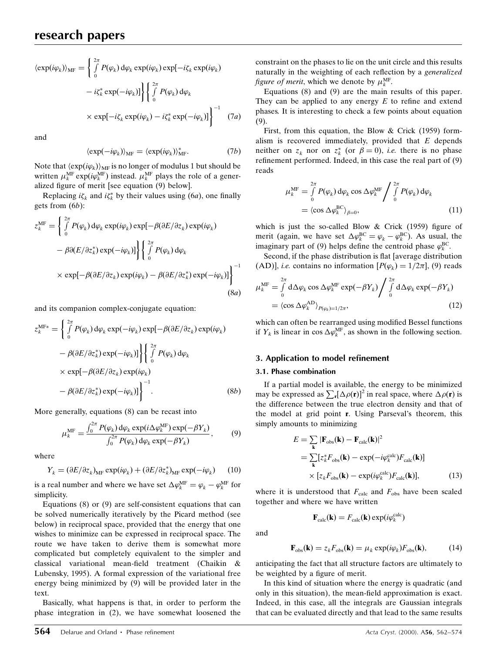$$
\langle \exp(i\varphi_k) \rangle_{\text{MF}} = \left\{ \int_0^{2\pi} P(\varphi_k) \, d\varphi_k \exp(i\varphi_k) \exp[-i\zeta_k \exp(i\varphi_k) - i\zeta_k^* \exp(-i\varphi_k)] \right\} \left\{ \int_0^{2\pi} P(\varphi_k) \, d\varphi_k \right\}
$$

$$
\times \exp[-i\zeta_k \exp(i\varphi_k) - i\zeta_k^* \exp(-i\varphi_k)] \right\}^{-1} \quad (7a)
$$

and

$$
\langle \exp(-i\varphi_k) \rangle_{\text{MF}} = \langle \exp(i\varphi_k) \rangle_{\text{MF}}^*.
$$
 (7b)

Note that  $\langle \exp(i\varphi_k) \rangle_{MF}$  is no longer of modulus 1 but should be written  $\mu_k^{\text{MF}}$  exp( $i\varphi_k^{\text{MF}}$ ) instead.  $\mu_k^{\text{MF}}$  plays the role of a generalized figure of merit [see equation (9) below].

Replacing  $i\zeta_k$  and  $i\zeta_k^*$  by their values using (6*a*), one finally gets from (6b):

$$
z_k^{\text{MF}} = \left\{ \int_0^{2\pi} P(\varphi_k) \, d\varphi_k \exp(i\varphi_k) \exp[-\beta(\partial E/\partial z_k) \exp(i\varphi_k) - \beta(\partial E/\partial z_k^*) \exp(-i\varphi_k)] \right\} \left\{ \int_0^{2\pi} P(\varphi_k) \, d\varphi_k
$$
  
×  $\exp[-\beta(\partial E/\partial z_k) \exp(i\varphi_k) - \beta(\partial E/\partial z_k^*) \exp(-i\varphi_k)] \right\}^{-1}$  (8a)

and its companion complex-conjugate equation:

$$
z_k^{\text{MF}*} = \left\{ \int_0^{2\pi} P(\varphi_k) \, d\varphi_k \exp(-i\varphi_k) \exp[-\beta(\partial E/\partial z_k) \exp(i\varphi_k) - \beta(\partial E/\partial z_k^*) \exp(-i\varphi_k)] \right\} \left\{ \int_0^{2\pi} P(\varphi_k) \, d\varphi_k
$$
  
×  $\exp[-\beta(\partial E/\partial z_k) \exp(i\varphi_k) - \beta(\partial E/\partial z_k^*) \exp(-i\varphi_k)] \right\}^{-1}$ . (8b)

More generally, equations (8) can be recast into

$$
\mu_k^{\text{MF}} = \frac{\int_0^{2\pi} P(\varphi_k) \, \mathrm{d}\varphi_k \exp(i\Delta\varphi_k^{\text{MF}}) \exp(-\beta Y_k)}{\int_0^{2\pi} P(\varphi_k) \, \mathrm{d}\varphi_k \exp(-\beta Y_k)},\tag{9}
$$

where

$$
Y_k = (\partial E/\partial z_k)_{\text{MF}} \exp(i\varphi_k) + (\partial E/\partial z_k^*)_{\text{MF}} \exp(-i\varphi_k)
$$
 (10)

is a real number and where we have set  $\Delta \varphi_k^{\text{MF}} = \varphi_k - \varphi_k^{\text{MF}}$  for simplicity.

Equations (8) or (9) are self-consistent equations that can be solved numerically iteratively by the Picard method (see below) in reciprocal space, provided that the energy that one wishes to minimize can be expressed in reciprocal space. The route we have taken to derive them is somewhat more complicated but completely equivalent to the simpler and classical variational mean-field treatment (Chaikin & Lubensky, 1995). A formal expression of the variational free energy being minimized by (9) will be provided later in the text.

Basically, what happens is that, in order to perform the phase integration in (2), we have somewhat loosened the constraint on the phases to lie on the unit circle and this results naturally in the weighting of each reflection by a generalized figure of merit, which we denote by  $\mu_k^{\text{MF}}$ .

Equations (8) and (9) are the main results of this paper. They can be applied to any energy  $E$  to refine and extend phases. It is interesting to check a few points about equation (9).

First, from this equation, the Blow & Crick (1959) formalism is recovered immediately, provided that  $E$  depends neither on  $z_k$  nor on  $z_k^*$  (or  $\beta = 0$ ), *i.e.* there is no phase refinement performed. Indeed, in this case the real part of  $(9)$ reads

$$
\mu_k^{\text{MF}} = \int_0^{2\pi} P(\varphi_k) \, d\varphi_k \cos \Delta \varphi_k^{\text{MF}} \Bigg/ \int_0^{2\pi} P(\varphi_k) \, d\varphi_k
$$
  
=  $\langle \cos \Delta \varphi_k^{\text{BC}} \rangle_{\beta=0},$  (11)

which is just the so-called Blow  $&$  Crick (1959) figure of merit (again, we have set  $\Delta \varphi_k^{\text{BC}} = \varphi_k - \varphi_k^{\text{BC}}$ ). As usual, the imaginary part of (9) helps define the centroid phase  $\varphi_k^{\text{BC}}$ .

Second, if the phase distribution is flat [average distribution] (AD)], *i.e.* contains no information  $[P(\varphi_k) = 1/2\pi]$ , (9) reads

$$
\mu_k^{\text{MF}} = \int_0^{2\pi} d\Delta \varphi_k \cos \Delta \varphi_k^{\text{MF}} \exp(-\beta Y_k) / \int_0^{2\pi} d\Delta \varphi_k \exp(-\beta Y_k)
$$
  
=  $\langle \cos \Delta \varphi_k^{\text{AD}} \rangle_{P(\varphi_k) = 1/2\pi},$  (12)

which can often be rearranged using modified Bessel functions if  $Y_k$  is linear in  $\cos \Delta \varphi_k^{\text{MF}}$ , as shown in the following section.

#### 3. Application to model refinement

#### 3.1. Phase combination

If a partial model is available, the energy to be minimized may be expressed as  $\sum_{\mathbf{r}} [\Delta \rho(\mathbf{r})]^2$  in real space, where  $\Delta \rho(\mathbf{r})$  is the difference between the true electron density and that of the model at grid point r. Using Parseval's theorem, this simply amounts to minimizing

$$
E = \sum_{\mathbf{k}} |\mathbf{F}_{obs}(\mathbf{k}) - \mathbf{F}_{calc}(\mathbf{k})|^2
$$
  
= 
$$
\sum_{\mathbf{k}} [z_k^* F_{obs}(\mathbf{k}) - \exp(-i\varphi_k^{calc}) F_{calc}(\mathbf{k})]
$$
  

$$
\times [z_k F_{obs}(\mathbf{k}) - \exp(i\varphi_k^{calc}) F_{calc}(\mathbf{k})],
$$
 (13)

where it is understood that  $F_{\text{calc}}$  and  $F_{\text{obs}}$  have been scaled together and where we have written

 $\mathbf{F}_{\text{calc}}(\mathbf{k}) = F_{\text{calc}}(\mathbf{k}) \exp(i\varphi_k^{\text{calc}})$ 

and

$$
\mathbf{F}_{\rm obs}(\mathbf{k}) = z_k F_{\rm obs}(\mathbf{k}) = \mu_k \exp(i\varphi_k) F_{\rm obs}(\mathbf{k}),\tag{14}
$$

anticipating the fact that all structure factors are ultimately to be weighted by a figure of merit.

In this kind of situation where the energy is quadratic (and only in this situation), the mean-field approximation is exact. Indeed, in this case, all the integrals are Gaussian integrals that can be evaluated directly and that lead to the same results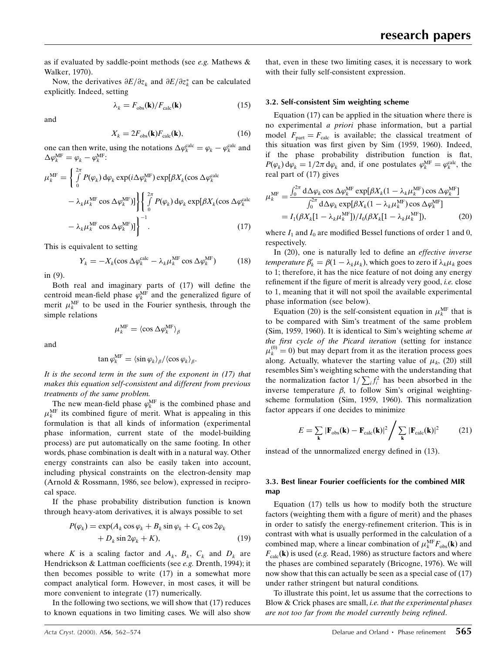as if evaluated by saddle-point methods (see e.g. Mathews & Walker, 1970).

Now, the derivatives  $\partial E/\partial z_k$  and  $\partial E/\partial z_k^*$  can be calculated explicitly. Indeed, setting

$$
\lambda_k = F_{\text{obs}}(\mathbf{k}) / F_{\text{calc}}(\mathbf{k}) \tag{15}
$$

and

$$
X_k = 2F_{\text{obs}}(\mathbf{k})F_{\text{calc}}(\mathbf{k}),\tag{16}
$$

one can then write, using the notations  $\Delta \varphi_k^{\text{calc}} = \varphi_k - \varphi_k^{\text{calc}}$  and  $\Delta \varphi_k^{\text{MF}} = \varphi_k - \varphi_k^{\text{MF}}$ :

$$
\mu_k^{\text{MF}} = \begin{cases}\n\int_0^{2\pi} P(\varphi_k) \, d\varphi_k \exp(i\Delta\varphi_k^{\text{MF}}) \exp[\beta X_k(\cos \Delta\varphi_k^{\text{calc}}] \\
-\lambda_k \mu_k^{\text{MF}} \cos \Delta\varphi_k^{\text{MF}})]\n\end{cases}\n\begin{cases}\n\int_0^{2\pi} P(\varphi_k) \, d\varphi_k \exp[\beta X_k(\cos \Delta\varphi_k^{\text{calc}}] \\
0\n\end{cases}
$$
\n
$$
-\lambda_k \mu_k^{\text{MF}} \cos \Delta\varphi_k^{\text{MF}})]\n\begin{cases}\n\frac{2\pi}{3} & \text{if } k \neq k, \text{if } k \neq k.\n\end{cases}
$$
\n(17)

This is equivalent to setting

$$
Y_k = -X_k(\cos \Delta \varphi_k^{\text{calc}} - \lambda_k \mu_k^{\text{MF}} \cos \Delta \varphi_k^{\text{MF}})
$$
 (18)

in (9).

Both real and imaginary parts of  $(17)$  will define the centroid mean-field phase  $\varphi_k^{\text{MF}}$  and the generalized figure of merit  $\mu_k^{\text{MF}}$  to be used in the Fourier synthesis, through the simple relations

 $\mu_k^{\rm MF}=\langle\cos\Delta\varphi_k^{\rm MF}\rangle_\beta$ 

and

$$
\tan \varphi_k^{\text{MF}} = \langle \sin \varphi_k \rangle_\beta / \langle \cos \varphi_k \rangle_\beta.
$$

It is the second term in the sum of the exponent in (17) that makes this equation self-consistent and different from previous treatments of the same problem.

The new mean-field phase  $\varphi_k^{\text{MF}}$  is the combined phase and  $\mu_k^{\text{MF}}$  its combined figure of merit. What is appealing in this formulation is that all kinds of information (experimental phase information, current state of the model-building process) are put automatically on the same footing. In other words, phase combination is dealt with in a natural way. Other energy constraints can also be easily taken into account, including physical constraints on the electron-density map (Arnold & Rossmann, 1986, see below), expressed in reciprocal space.

If the phase probability distribution function is known through heavy-atom derivatives, it is always possible to set

$$
P(\varphi_k) = \exp(A_k \cos \varphi_k + B_k \sin \varphi_k + C_k \cos 2\varphi_k + D_k \sin 2\varphi_k + K),
$$
 (19)

where K is a scaling factor and  $A_k$ ,  $B_k$ ,  $C_k$  and  $D_k$  are Hendrickson & Lattman coefficients (see e.g. Drenth, 1994); it then becomes possible to write (17) in a somewhat more compact analytical form. However, in most cases, it will be more convenient to integrate (17) numerically.

In the following two sections, we will show that (17) reduces to known equations in two limiting cases. We will also show

that, even in these two limiting cases, it is necessary to work with their fully self-consistent expression.

#### 3.2. Self-consistent Sim weighting scheme

Equation (17) can be applied in the situation where there is no experimental a priori phase information, but a partial model  $F_{\text{part}} = F_{\text{calc}}$  is available; the classical treatment of this situation was first given by Sim (1959, 1960). Indeed, if the phase probability distribution function is flat,  $P(\varphi_k) d\varphi_k = 1/2\pi d\varphi_k$  and, if one postulates  $\varphi_k^{\text{MF}} = \varphi_k^{\text{calc}}$ , the real part of (17) gives

$$
\mu_k^{\text{MF}} = \frac{\int_0^{2\pi} d\Delta \varphi_k \cos \Delta \varphi_k^{\text{MF}} \exp[\beta X_k (1 - \lambda_k \mu_k^{\text{MF}}) \cos \Delta \varphi_k^{\text{MF}}]}{\int_0^{2\pi} d\Delta \varphi_k \exp[\beta X_k (1 - \lambda_k \mu_k^{\text{MF}}) \cos \Delta \varphi_k^{\text{MF}}]} = I_1(\beta X_k [1 - \lambda_k \mu_k^{\text{MF}}]) / I_0(\beta X_k [1 - \lambda_k \mu_k^{\text{MF}}]),
$$
\n(20)

where  $I_1$  and  $I_0$  are modified Bessel functions of order 1 and 0, respectively.

In  $(20)$ , one is naturally led to define an *effective inverse* temperature  $\beta'_k = \beta(1 - \lambda_k \mu_k)$ , which goes to zero if  $\lambda_k \mu_k$  goes to 1; therefore, it has the nice feature of not doing any energy refinement if the figure of merit is already very good, *i.e.* close to 1, meaning that it will not spoil the available experimental phase information (see below).

Equation (20) is the self-consistent equation in  $\mu_k^{\text{MF}}$  that is to be compared with Sim's treatment of the same problem (Sim, 1959, 1960). It is identical to Sim's weighting scheme at the first cycle of the Picard iteration (setting for instance  $\mu_k^{(0)} = 0$ ) but may depart from it as the iteration process goes along. Actually, whatever the starting value of  $\mu_k$ , (20) still resembles Sim's weighting scheme with the understanding that the normalization factor  $1/\sum_i f_i^2$  has been absorbed in the inverse temperature  $\beta$ , to follow Sim's original weightingscheme formulation (Sim, 1959, 1960). This normalization factor appears if one decides to minimize

$$
E = \sum_{\mathbf{k}} |\mathbf{F}_{obs}(\mathbf{k}) - \mathbf{F}_{calc}(\mathbf{k})|^2 / \sum_{\mathbf{k}} |\mathbf{F}_{calc}(\mathbf{k})|^2 \qquad (21)
$$

instead of the unnormalized energy defined in  $(13)$ .

## 3.3. Best linear Fourier coefficients for the combined MIR map

Equation (17) tells us how to modify both the structure factors (weighting them with a figure of merit) and the phases in order to satisfy the energy-refinement criterion. This is in contrast with what is usually performed in the calculation of a combined map, where a linear combination of  $\mu_k^{\text{MF}} F_{obs}(\mathbf{k})$  and  $F_{\text{calc}}(\mathbf{k})$  is used (e.g. Read, 1986) as structure factors and where the phases are combined separately (Bricogne, 1976). We will now show that this can actually be seen as a special case of (17) under rather stringent but natural conditions.

To illustrate this point, let us assume that the corrections to Blow & Crick phases are small, *i.e. that the experimental phases* are not too far from the model currently being refined.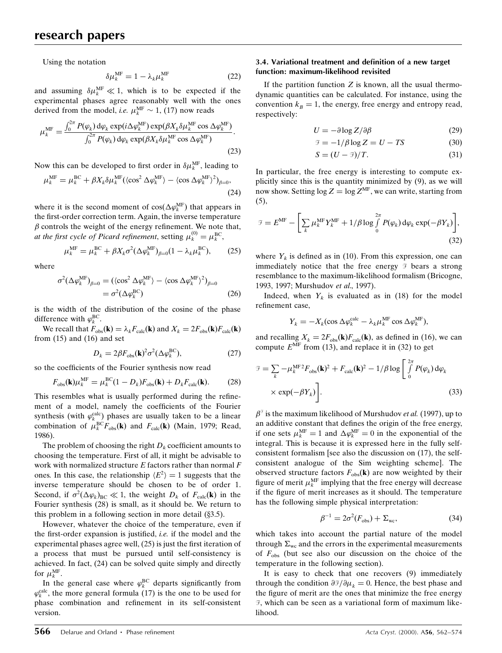Using the notation

$$
\delta \mu_k^{\text{MF}} = 1 - \lambda_k \mu_k^{\text{MF}} \tag{22}
$$

and assuming  $\delta \mu_k^{\text{MF}} \ll 1$ , which is to be expected if the experimental phases agree reasonably well with the ones derived from the model, *i.e.*  $\mu_k^{\text{MF}} \sim 1$ , (17) now reads

$$
\mu_k^{\text{MF}} = \frac{\int_0^{2\pi} P(\varphi_k) \, \text{d}\varphi_k \exp(i\Delta\varphi_k^{\text{MF}}) \exp(\beta X_k \delta \mu_k^{\text{MF}} \cos \Delta\varphi_k^{\text{MF}})}{\int_0^{2\pi} P(\varphi_k) \, \text{d}\varphi_k \exp(\beta X_k \delta \mu_k^{\text{MF}} \cos \Delta\varphi_k^{\text{MF}})}.
$$
\n(23)

Now this can be developed to first order in  $\delta \mu_k^{\text{MF}}$ , leading to

$$
\mu_k^{\text{MF}} = \mu_k^{\text{BC}} + \beta X_k \delta \mu_k^{\text{MF}} (\langle \cos^2 \Delta \varphi_k^{\text{MF}} \rangle - \langle \cos \Delta \varphi_k^{\text{MF}} \rangle^2)_{\beta=0},
$$
\n(24)

where it is the second moment of  $cos(\Delta \varphi_k^{\text{MF}})$  that appears in the first-order correction term. Again, the inverse temperature  $\beta$  controls the weight of the energy refinement. We note that, at the first cycle of Picard refinement, setting  $\mu_k^{(0)} = \mu_k^{\text{BC}}$ ,

$$
\mu_k^{\text{MF}} = \mu_k^{\text{BC}} + \beta X_k \sigma^2 (\Delta \varphi_k^{\text{MF}})_{\beta=0} (1 - \lambda_k \mu_k^{\text{BC}}), \qquad (25)
$$

where

$$
\sigma^{2}(\Delta \varphi_{k}^{\text{MF}})_{\beta=0} = (\langle \cos^{2} \Delta \varphi_{k}^{\text{MF}} \rangle - \langle \cos \Delta \varphi_{k}^{\text{MF}} \rangle^{2})_{\beta=0}
$$

$$
= \sigma^{2}(\Delta \varphi_{k}^{\text{BC}})
$$
(26)

is the width of the distribution of the cosine of the phase difference with  $\varphi_k^{\text{BC}}$ .

We recall that  $F_{obs}(\mathbf{k}) = \lambda_k F_{calc}(\mathbf{k})$  and  $X_k = 2F_{obs}(\mathbf{k})F_{calc}(\mathbf{k})$ from  $(15)$  and  $(16)$  and set

$$
D_k = 2\beta F_{\text{obs}}(\mathbf{k})^2 \sigma^2 (\Delta \varphi_k^{\text{BC}}), \tag{27}
$$

so the coefficients of the Fourier synthesis now read

$$
F_{\rm obs}(\mathbf{k})\mu_k^{\rm MF} = \mu_k^{\rm BC}(1 - D_k)F_{\rm obs}(\mathbf{k}) + D_k F_{\rm calc}(\mathbf{k}).\tag{28}
$$

This resembles what is usually performed during the refinement of a model, namely the coefficients of the Fourier synthesis (with  $\varphi_k^{\text{calc}}$ ) phases are usually taken to be a linear combination of  $\mu_k^{\text{BC}} F_{\text{obs}}(\mathbf{k})$  and  $F_{\text{calc}}(\mathbf{k})$  (Main, 1979; Read, 1986).

The problem of choosing the right  $D_k$  coefficient amounts to choosing the temperature. First of all, it might be advisable to work with normalized structure  $E$  factors rather than normal  $F$ ones. In this case, the relationship  $\langle E^2 \rangle = 1$  suggests that the inverse temperature should be chosen to be of order 1. Second, if  $\sigma^2(\Delta \varphi_k)_{BC} \ll 1$ , the weight  $D_k$  of  $F_{calc}(\mathbf{k})$  in the Fourier synthesis (28) is small, as it should be. We return to this problem in a following section in more detail  $(\S 3.5)$ .

However, whatever the choice of the temperature, even if the first-order expansion is justified, *i.e.* if the model and the experimental phases agree well,  $(25)$  is just the first iteration of a process that must be pursued until self-consistency is achieved. In fact, (24) can be solved quite simply and directly for  $\mu_k^{\text{MF}}$ .

In the general case where  $\varphi_k^{BC}$  departs significantly from  $\varphi_k^{\text{calc}}$ , the more general formula (17) is the one to be used for phase combination and refinement in its self-consistent version.

#### 3.4. Variational treatment and definition of a new target function: maximum-likelihood revisited

If the partition function  $Z$  is known, all the usual thermodynamic quantities can be calculated. For instance, using the convention  $k_B = 1$ , the energy, free energy and entropy read, respectively:

$$
U = -\partial \log Z / \partial \beta \tag{29}
$$

$$
\mathcal{F} = -1/\beta \log Z = U - TS \tag{30}
$$

$$
S = (U - \mathcal{F})/T. \tag{31}
$$

In particular, the free energy is interesting to compute explicitly since this is the quantity minimized by (9), as we will now show. Setting  $\log Z = \log Z^{\text{MF}}$ , we can write, starting from (5),

$$
\mathcal{F} = E^{\text{MF}} - \left[ \sum_{k} \mu_{k}^{\text{MF}} Y_{k}^{\text{MF}} + 1/\beta \log \int_{0}^{2\pi} P(\varphi_{k}) d\varphi_{k} \exp(-\beta Y_{k}) \right],
$$
\n(32)

where  $Y_k$  is defined as in (10). From this expression, one can immediately notice that the free energy  $\mathcal{F}$  bears a strong resemblance to the maximum-likelihood formalism (Bricogne, 1993, 1997; Murshudov et al., 1997).

Indeed, when  $Y_k$  is evaluated as in (18) for the model refinement case,

$$
Y_k = -X_k(\cos \Delta \varphi_k^{\text{calc}} - \lambda_k \mu_k^{\text{MF}} \cos \Delta \varphi_k^{\text{MF}}),
$$

and recalling  $X_k = 2F_{obs}(\mathbf{k})F_{calc}(\mathbf{k})$ , as defined in (16), we can compute  $E^{\text{MF}}$  from (13), and replace it in (32) to get

$$
\mathcal{F} = \sum_{k} -\mu_{k}^{\text{MF}2} F_{\text{obs}}(\mathbf{k})^{2} + F_{\text{calc}}(\mathbf{k})^{2} - 1/\beta \log \left[ \int_{0}^{2\pi} P(\varphi_{k}) \, d\varphi_{k} \times \exp(-\beta Y_{k}) \right].
$$
\n(33)

 $\beta^{\gamma}$  is the maximum likelihood of Murshudov *et al.* (1997), up to an additive constant that defines the origin of the free energy, if one sets  $\mu_k^{\text{MF}} = 1$  and  $\Delta \varphi_k^{\text{MF}} = 0$  in the exponential of the integral. This is because it is expressed here in the fully selfconsistent formalism [see also the discussion on (17), the selfconsistent analogue of the Sim weighting scheme]. The observed structure factors  $F_{obs}(\mathbf{k})$  are now weighted by their figure of merit  $\mu_k^{\text{MF}}$  implying that the free energy will decrease if the figure of merit increases as it should. The temperature has the following simple physical interpretation:

$$
\beta^{-1} = 2\sigma^2 (F_{\text{obs}}) + \Sigma_{\text{wc}},\tag{34}
$$

which takes into account the partial nature of the model through  $\Sigma_{wc}$  and the errors in the experimental measurements of  $F_{\text{obs}}$  (but see also our discussion on the choice of the temperature in the following section).

It is easy to check that one recovers (9) immediately through the condition  $\partial \tilde{\theta}/\partial \mu_k = 0$ . Hence, the best phase and the figure of merit are the ones that minimize the free energy F, which can be seen as a variational form of maximum likelihood.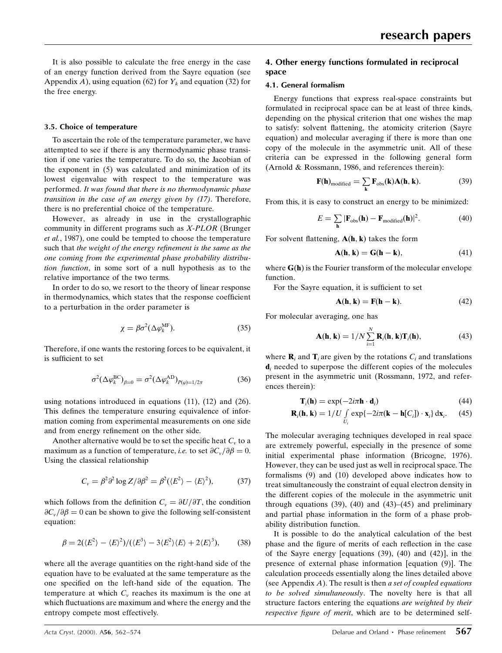It is also possible to calculate the free energy in the case of an energy function derived from the Sayre equation (see Appendix A), using equation (62) for  $Y_k$  and equation (32) for the free energy.

#### 3.5. Choice of temperature

To ascertain the role of the temperature parameter, we have attempted to see if there is any thermodynamic phase transition if one varies the temperature. To do so, the Jacobian of the exponent in (5) was calculated and minimization of its lowest eigenvalue with respect to the temperature was performed. It was found that there is no thermodynamic phase transition in the case of an energy given by (17). Therefore, there is no preferential choice of the temperature.

However, as already in use in the crystallographic community in different programs such as X-PLOR (Brunger et al., 1987), one could be tempted to choose the temperature such that the weight of the energy refinement is the same as the one coming from the experimental phase probability distribution function, in some sort of a null hypothesis as to the relative importance of the two terms.

In order to do so, we resort to the theory of linear response in thermodynamics, which states that the response coefficient to a perturbation in the order parameter is

$$
\chi = \beta \sigma^2 (\Delta \varphi_k^{\text{MF}}). \tag{35}
$$

Therefore, if one wants the restoring forces to be equivalent, it is sufficient to set

$$
\sigma^2 (\Delta \varphi_k^{\mathrm{BC}})_{\beta=0} = \sigma^2 (\Delta \varphi_k^{\mathrm{AD}})_{P(\varphi)=1/2\pi}
$$
 (36)

using notations introduced in equations (11), (12) and (26). This defines the temperature ensuring equivalence of information coming from experimental measurements on one side and from energy refinement on the other side.

Another alternative would be to set the specific heat  $C_v$  to a maximum as a function of temperature, *i.e.* to set  $\partial C_v/\partial \beta = 0$ . Using the classical relationship

$$
C_{v} = \beta^{2} \partial^{2} \log Z / \partial \beta^{2} = \beta^{2} (\langle E^{2} \rangle - \langle E \rangle^{2}), \tag{37}
$$

which follows from the definition  $C_v = \partial U/\partial T$ , the condition  $\partial C_v/\partial \beta = 0$  can be shown to give the following self-consistent equation:

$$
\beta = 2(\langle E^2 \rangle - \langle E \rangle^2) / (\langle E^3 \rangle - 3\langle E^2 \rangle \langle E \rangle + 2\langle E \rangle^3), \tag{38}
$$

where all the average quantities on the right-hand side of the equation have to be evaluated at the same temperature as the one specified on the left-hand side of the equation. The temperature at which  $C_v$  reaches its maximum is the one at which fluctuations are maximum and where the energy and the entropy compete most effectively.

## 4. Other energy functions formulated in reciprocal space

#### 4.1. General formalism

Energy functions that express real-space constraints but formulated in reciprocal space can be at least of three kinds, depending on the physical criterion that one wishes the map to satisfy: solvent flattening, the atomicity criterion (Sayre equation) and molecular averaging if there is more than one copy of the molecule in the asymmetric unit. All of these criteria can be expressed in the following general form (Arnold & Rossmann, 1986, and references therein):

$$
\mathbf{F}(\mathbf{h})_{\text{modified}} = \sum_{\mathbf{k}} \mathbf{F}_{\text{obs}}(\mathbf{k}) \mathbf{A}(\mathbf{h}, \mathbf{k}). \tag{39}
$$

From this, it is easy to construct an energy to be minimized:

$$
E = \sum_{\mathbf{h}} |\mathbf{F}_{\text{obs}}(\mathbf{h}) - \mathbf{F}_{\text{modified}}(\mathbf{h})|^2.
$$
 (40)

For solvent flattening,  $A(h, k)$  takes the form

$$
\mathbf{A}(\mathbf{h}, \mathbf{k}) = \mathbf{G}(\mathbf{h} - \mathbf{k}),\tag{41}
$$

where  $G(h)$  is the Fourier transform of the molecular envelope function.

For the Sayre equation, it is sufficient to set

$$
\mathbf{A}(\mathbf{h}, \mathbf{k}) = \mathbf{F}(\mathbf{h} - \mathbf{k}).\tag{42}
$$

For molecular averaging, one has

$$
\mathbf{A}(\mathbf{h}, \mathbf{k}) = 1/N \sum_{i=1}^{N} \mathbf{R}_i(\mathbf{h}, \mathbf{k}) \mathbf{T}_i(\mathbf{h}),
$$
(43)

where  $\mathbf{R}_i$  and  $\mathbf{T}_i$  are given by the rotations  $C_i$  and translations  $\mathbf{d}_i$  needed to superpose the different copies of the molecules present in the asymmetric unit (Rossmann, 1972, and references therein):

$$
\mathbf{T}_i(\mathbf{h}) = \exp(-2i\pi \mathbf{h} \cdot \mathbf{d}_i) \tag{44}
$$

$$
\mathbf{R}_i(\mathbf{h}, \mathbf{k}) = 1/U \int\limits_{U_i} \exp\{-2i\pi(\mathbf{k} - \mathbf{h}[C_i]) \cdot \mathbf{x}_i\} \, \mathrm{d}\mathbf{x}_i. \tag{45}
$$

The molecular averaging techniques developed in real space are extremely powerful, especially in the presence of some initial experimental phase information (Bricogne, 1976). However, they can be used just as well in reciprocal space. The formalisms (9) and (10) developed above indicates how to treat simultaneously the constraint of equal electron density in the different copies of the molecule in the asymmetric unit through equations  $(39)$ ,  $(40)$  and  $(43)–(45)$  and preliminary and partial phase information in the form of a phase probability distribution function.

It is possible to do the analytical calculation of the best phase and the figure of merits of each reflection in the case of the Sayre energy [equations (39), (40) and (42)], in the presence of external phase information [equation (9)]. The calculation proceeds essentially along the lines detailed above (see Appendix  $A$ ). The result is then a set of coupled equations to be solved simultaneously. The novelty here is that all structure factors entering the equations are weighted by their respective figure of merit, which are to be determined self-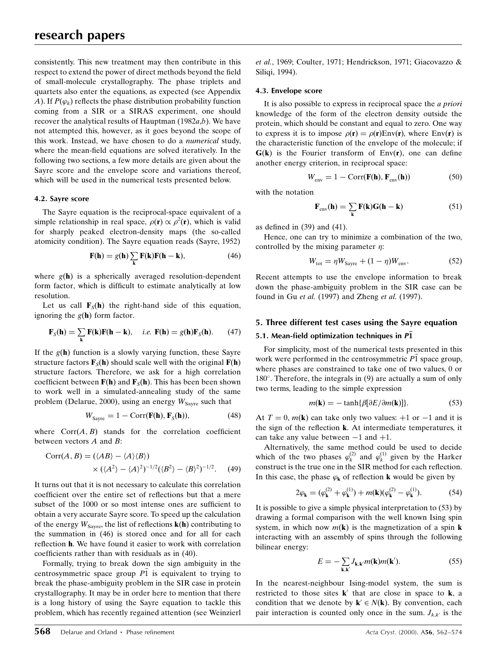consistently. This new treatment may then contribute in this respect to extend the power of direct methods beyond the field of small-molecule crystallography. The phase triplets and quartets also enter the equations, as expected (see Appendix A). If  $P(\varphi_k)$  reflects the phase distribution probability function coming from a SIR or a SIRAS experiment, one should recover the analytical results of Hauptman  $(1982a,b)$ . We have not attempted this, however, as it goes beyond the scope of this work. Instead, we have chosen to do a numerical study, where the mean-field equations are solved iteratively. In the following two sections, a few more details are given about the Sayre score and the envelope score and variations thereof, which will be used in the numerical tests presented below.

#### 4.2. Sayre score

The Sayre equation is the reciprocal-space equivalent of a simple relationship in real space,  $\rho(\mathbf{r}) \propto \rho^2(\mathbf{r})$ , which is valid for sharply peaked electron-density maps (the so-called atomicity condition). The Sayre equation reads (Sayre, 1952)

$$
\mathbf{F}(\mathbf{h}) = g(\mathbf{h}) \sum_{\mathbf{k}} \mathbf{F}(\mathbf{k}) \mathbf{F}(\mathbf{h} - \mathbf{k}), \tag{46}
$$

where  $g(h)$  is a spherically averaged resolution-dependent form factor, which is difficult to estimate analytically at low resolution.

Let us call  $\mathbf{F}_{S}(\mathbf{h})$  the right-hand side of this equation, ignoring the  $g(h)$  form factor.

$$
\mathbf{F}_S(\mathbf{h}) = \sum_{\mathbf{k}} \mathbf{F}(\mathbf{k}) \mathbf{F}(\mathbf{h} - \mathbf{k}), \quad i.e. \ \mathbf{F}(\mathbf{h}) = g(\mathbf{h}) \mathbf{F}_S(\mathbf{h}). \tag{47}
$$

If the  $g(h)$  function is a slowly varying function, these Sayre structure factors  $\mathbf{F}_{\mathcal{S}}(\mathbf{h})$  should scale well with the original  $\mathbf{F}(\mathbf{h})$ structure factors. Therefore, we ask for a high correlation coefficient between  $F(h)$  and  $F_S(h)$ . This has been been shown to work well in a simulated-annealing study of the same problem (Delarue, 2000), using an energy  $W_{\text{Savre}}$  such that

$$
W_{\text{Sayre}} = 1 - \text{Corr}(\mathbf{F}(\mathbf{h}), \mathbf{F}_{\text{S}}(\mathbf{h})),\tag{48}
$$

where  $Corr(A, B)$  stands for the correlation coefficient between vectors A and B:

$$
Corr(A, B) = (\langle AB \rangle - \langle A \rangle \langle B \rangle)
$$
  
 
$$
\times (\langle A^2 \rangle - \langle A \rangle^2)^{-1/2} (\langle B^2 \rangle - \langle B \rangle^2)^{-1/2}. \tag{49}
$$

It turns out that it is not necessary to calculate this correlation coefficient over the entire set of reflections but that a mere subset of the 1000 or so most intense ones are sufficient to obtain a very accurate Sayre score. To speed up the calculation of the energy  $W_{\text{Savre}}$ , the list of reflections  $\mathbf{k}(\mathbf{h})$  contributing to the summation in (46) is stored once and for all for each reflection **h**. We have found it easier to work with correlation coefficients rather than with residuals as in  $(40)$ .

Formally, trying to break down the sign ambiguity in the centrosymmetric space group  $\overline{P1}$  is equivalent to trying to break the phase-ambiguity problem in the SIR case in protein crystallography. It may be in order here to mention that there is a long history of using the Sayre equation to tackle this problem, which has recently regained attention (see Weinzierl et al., 1969; Coulter, 1971; Hendrickson, 1971; Giacovazzo & Siliqi, 1994).

#### 4.3. Envelope score

It is also possible to express in reciprocal space the a priori knowledge of the form of the electron density outside the protein, which should be constant and equal to zero. One way to express it is to impose  $\rho(\mathbf{r}) = \rho(\mathbf{r}) \text{Env}(\mathbf{r})$ , where Env(r) is the characteristic function of the envelope of the molecule; if  $G(k)$  is the Fourier transform of Env(r), one can define another energy criterion, in reciprocal space:

$$
W_{\text{env}} = 1 - \text{Corr}(\mathbf{F}(\mathbf{h}), \mathbf{F}_{\text{env}}(\mathbf{h}))
$$
 (50)

with the notation

$$
\mathbf{F}_{env}(\mathbf{h}) = \sum_{\mathbf{k}} \mathbf{F}(\mathbf{k}) \mathbf{G}(\mathbf{h} - \mathbf{k}) \tag{51}
$$

as defined in  $(39)$  and  $(41)$ .

Hence, one can try to minimize a combination of the two, controlled by the mixing parameter  $\eta$ :

$$
W_{\text{tot}} = \eta W_{\text{Sayre}} + (1 - \eta)W_{\text{env}}.\tag{52}
$$

Recent attempts to use the envelope information to break down the phase-ambiguity problem in the SIR case can be found in Gu et al. (1997) and Zheng et al. (1997).

#### 5. Three different test cases using the Sayre equation

## 5.1. Mean-field optimization techniques in  $P\bar{1}$

For simplicity, most of the numerical tests presented in this work were performed in the centrosymmetric P1 space group. where phases are constrained to take one of two values, 0 or  $180^\circ$ . Therefore, the integrals in (9) are actually a sum of only two terms, leading to the simple expression

$$
m(\mathbf{k}) = -\tanh\{\beta[\partial E/\partial m(\mathbf{k})]\}.
$$
 (53)

At  $T = 0$ ,  $m(\mathbf{k})$  can take only two values:  $+1$  or  $-1$  and it is the sign of the reflection **k**. At intermediate temperatures, it can take any value between  $-1$  and  $+1$ .

Alternatively, the same method could be used to decide which of the two phases  $\varphi_k^{(2)}$  and  $\varphi_k^{(1)}$  given by the Harker construct is the true one in the SIR method for each reflection. In this case, the phase  $\varphi_k$  of reflection k would be given by

$$
2\varphi_{\mathbf{k}} = (\varphi_{\mathbf{k}}^{(2)} + \varphi_{\mathbf{k}}^{(1)}) + m(\mathbf{k})(\varphi_{\mathbf{k}}^{(2)} - \varphi_{\mathbf{k}}^{(1)}).
$$
 (54)

It is possible to give a simple physical interpretation to (53) by drawing a formal comparison with the well known Ising spin system, in which now  $m(\mathbf{k})$  is the magnetization of a spin **k** interacting with an assembly of spins through the following bilinear energy:

$$
E = -\sum_{\mathbf{k}, \mathbf{k}'} J_{\mathbf{k}, \mathbf{k}'} m(\mathbf{k}) m(\mathbf{k}'). \tag{55}
$$

In the nearest-neighbour Ising-model system, the sum is restricted to those sites  $\mathbf{k}'$  that are close in space to  $\mathbf{k}$ , a condition that we denote by  $\mathbf{k}' \in N(\mathbf{k})$ . By convention, each pair interaction is counted only once in the sum.  $J_{k,k'}$  is the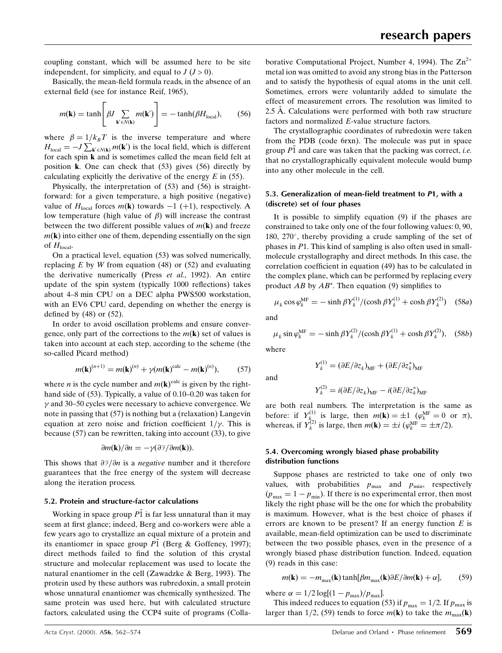coupling constant, which will be assumed here to be site independent, for simplicity, and equal to  $J (J > 0)$ .

Basically, the mean-field formula reads, in the absence of an external field (see for instance Reif, 1965),

$$
m(\mathbf{k}) = \tanh\left[\beta J \sum_{\mathbf{k}' \in N(\mathbf{k})} m(\mathbf{k}')\right] = -\tanh(\beta H_{\text{local}}),\qquad(56)
$$

where  $\beta = 1/k_B T$  is the inverse temperature and where  $H_{\text{local}} = -J \sum_{\mathbf{k}' \in N(\mathbf{k})} m(\mathbf{k}')$  is the local field, which is different for each spin  **and is sometimes called the mean field felt at** position k. One can check that (53) gives (56) directly by calculating explicitly the derivative of the energy  $E$  in (55).

Physically, the interpretation of (53) and (56) is straightforward: for a given temperature, a high positive (negative) value of  $H_{local}$  forces  $m(\mathbf{k})$  towards  $-1$  (+1), respectively. A low temperature (high value of  $\beta$ ) will increase the contrast between the two different possible values of  $m(\mathbf{k})$  and freeze  $m(\mathbf{k})$  into either one of them, depending essentially on the sign of  $H_{\text{local}}$ .

On a practical level, equation (53) was solved numerically, replacing  $E$  by  $W$  from equation (48) or (52) and evaluating the derivative numerically (Press et al., 1992). An entire update of the spin system (typically 1000 reflections) takes about 4±8 min CPU on a DEC alpha PWS500 workstation, with an EV6 CPU card, depending on whether the energy is defined by  $(48)$  or  $(52)$ .

In order to avoid oscillation problems and ensure convergence, only part of the corrections to the  $m(\mathbf{k})$  set of values is taken into account at each step, according to the scheme (the so-called Picard method)

$$
m(\mathbf{k})^{(n+1)} = m(\mathbf{k})^{(n)} + \gamma (m(\mathbf{k})^{\text{calc}} - m(\mathbf{k})^{(n)}), \tag{57}
$$

where *n* is the cycle number and  $m(\mathbf{k})^{\text{calc}}$  is given by the righthand side of  $(53)$ . Typically, a value of 0.10–0.20 was taken for  $\nu$  and 30–50 cycles were necessary to achieve convergence. We note in passing that (57) is nothing but a (relaxation) Langevin equation at zero noise and friction coefficient  $1/\nu$ . This is because (57) can be rewritten, taking into account (33), to give

$$
\frac{\partial m(\mathbf{k})}{\partial n} = -\gamma(\frac{\partial \mathcal{F}}{\partial m(\mathbf{k})}).
$$

This shows that  $\partial \mathcal{F}/\partial n$  is a *negative* number and it therefore guarantees that the free energy of the system will decrease along the iteration process.

#### 5.2. Protein and structure-factor calculations

Working in space group  $P\overline{1}$  is far less unnatural than it may seem at first glance; indeed, Berg and co-workers were able a few years ago to crystallize an equal mixture of a protein and its enantiomer in space group P1 (Berg & Goffeney, 1997); direct methods failed to find the solution of this crystal structure and molecular replacement was used to locate the natural enantiomer in the cell (Zawadzke & Berg, 1993). The protein used by these authors was rubredoxin, a small protein whose unnatural enantiomer was chemically synthesized. The same protein was used here, but with calculated structure factors, calculated using the CCP4 suite of programs (Colla-

borative Computational Project, Number 4, 1994). The  $\text{Zn}^{2+}$ metal ion was omitted to avoid any strong bias in the Patterson and to satisfy the hypothesis of equal atoms in the unit cell. Sometimes, errors were voluntarily added to simulate the effect of measurement errors. The resolution was limited to  $2.5$  Å. Calculations were performed with both raw structure factors and normalized E-value structure factors.

The crystallographic coordinates of rubredoxin were taken from the PDB (code 6rxn). The molecule was put in space group  $P1$  and care was taken that the packing was correct, *i.e.* that no crystallographically equivalent molecule would bump into any other molecule in the cell.

#### 5.3. Generalization of mean-field treatment to P1, with a (discrete) set of four phases

It is possible to simplify equation (9) if the phases are constrained to take only one of the four following values: 0, 90, 180,  $270^{\circ}$ , thereby providing a crude sampling of the set of phases in P1. This kind of sampling is also often used in smallmolecule crystallography and direct methods. In this case, the correlation coefficient in equation (49) has to be calculated in the complex plane, which can be performed by replacing every product  $AB$  by  $AB^*$ . Then equation (9) simplifies to

$$
\mu_k \cos \varphi_k^{\text{MF}} = -\sinh \beta Y_k^{(1)} / (\cosh \beta Y_k^{(1)} + \cosh \beta Y_k^{(2)}) \quad (58a)
$$

and

$$
\mu_k \sin \varphi_k^{\text{MF}} = -\sinh \beta Y_k^{(2)}/(\cosh \beta Y_k^{(1)} + \cosh \beta Y_k^{(2)}), \quad (58b)
$$

where

$$
Y_k^{(1)} = (\partial E/\partial z_k)_{\text{MF}} + (\partial E/\partial z_k^*)_{\text{MF}}
$$

and

$$
Y_k^{(2)} = i(\partial E/\partial z_k)_{\text{MF}} - i(\partial E/\partial z_k^*)_{\text{MF}}
$$

are both real numbers. The interpretation is the same as before: if  $Y_{k_{\infty}}^{(1)}$  is large, then  $m(\mathbf{k}) = \pm 1$  ( $\varphi_k^{\text{MF}} = 0$  or  $\pi$ ), whereas, if  $Y_k^{(2)}$  is large, then  $m(\mathbf{k}) = \pm i \left( \varphi_k^{\text{MF}} = \pm \pi/2 \right)$ .

#### 5.4. Overcoming wrongly biased phase probability distribution functions

Suppose phases are restricted to take one of only two values, with probabilities  $p_{\text{max}}$  and  $p_{\text{min}}$ , respectively  $(p_{\text{max}} = 1 - p_{\text{min}})$ . If there is no experimental error, then most likely the right phase will be the one for which the probability is maximum. However, what is the best choice of phases if errors are known to be present? If an energy function  $E$  is available, mean-field optimization can be used to discriminate between the two possible phases, even in the presence of a wrongly biased phase distribution function. Indeed, equation (9) reads in this case:

$$
m(\mathbf{k}) = -m_{\text{max}}(\mathbf{k}) \tanh[\beta m_{\text{max}}(\mathbf{k}) \partial E / \partial m(\mathbf{k}) + \alpha],\tag{59}
$$

where  $\alpha = 1/2 \log[(1-p_{\text{max}})/p_{\text{max}}]$ .

This indeed reduces to equation (53) if  $p_{\text{max}} = 1/2$ . If  $p_{\text{max}}$  is larger than 1/2, (59) tends to force  $m(\mathbf{k})$  to take the  $m_{\text{max}}(\mathbf{k})$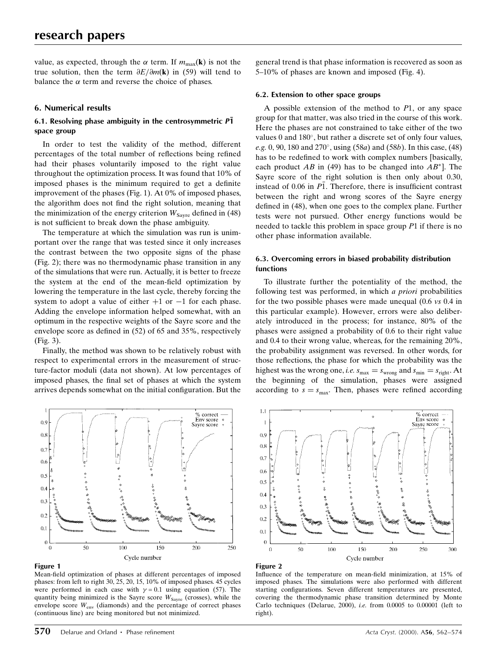value, as expected, through the  $\alpha$  term. If  $m_{\text{max}}(\mathbf{k})$  is not the true solution, then the term  $\partial E/\partial m(\mathbf{k})$  in (59) will tend to balance the  $\alpha$  term and reverse the choice of phases.

#### 6. Numerical results

## 6.1. Resolving phase ambiguity in the centrosymmetric  $\overline{P1}$ space group

In order to test the validity of the method, different percentages of the total number of reflections being refined had their phases voluntarily imposed to the right value throughout the optimization process. It was found that 10% of imposed phases is the minimum required to get a definite improvement of the phases (Fig. 1). At 0% of imposed phases, the algorithm does not find the right solution, meaning that the minimization of the energy criterion  $W_{\text{Sayre}}$  defined in (48) is not sufficient to break down the phase ambiguity.

The temperature at which the simulation was run is unimportant over the range that was tested since it only increases the contrast between the two opposite signs of the phase (Fig. 2); there was no thermodynamic phase transition in any of the simulations that were run. Actually, it is better to freeze the system at the end of the mean-field optimization by lowering the temperature in the last cycle, thereby forcing the system to adopt a value of either  $+1$  or  $-1$  for each phase. Adding the envelope information helped somewhat, with an optimum in the respective weights of the Sayre score and the envelope score as defined in  $(52)$  of 65 and 35%, respectively (Fig. 3).

Finally, the method was shown to be relatively robust with respect to experimental errors in the measurement of structure-factor moduli (data not shown). At low percentages of imposed phases, the final set of phases at which the system arrives depends somewhat on the initial configuration. But the



#### Figure 1

Mean-field optimization of phases at different percentages of imposed phases: from left to right 30, 25, 20, 15, 10% of imposed phases. 45 cycles were performed in each case with  $y = 0.1$  using equation (57). The quantity being minimized is the Sayre score  $W_{\text{Sayre}}$  (crosses), while the envelope score  $W_{env}$  (diamonds) and the percentage of correct phases (continuous line) are being monitored but not minimized.

general trend is that phase information is recovered as soon as 5-10% of phases are known and imposed (Fig. 4).

#### 6.2. Extension to other space groups

A possible extension of the method to  $P1$ , or any space group for that matter, was also tried in the course of this work. Here the phases are not constrained to take either of the two values  $0$  and  $180^\circ$ , but rather a discrete set of only four values, e.g. 0, 90, 180 and 270 $^{\circ}$ , using (58*a*) and (58*b*). In this case, (48) has to be redefined to work with complex numbers [basically, each product AB in (49) has to be changed into  $AB^*$ ]. The Sayre score of the right solution is then only about 0.30, instead of 0.06 in  $\overline{P1}$ . Therefore, there is insufficient contrast between the right and wrong scores of the Sayre energy defined in (48), when one goes to the complex plane. Further tests were not pursued. Other energy functions would be needed to tackle this problem in space group P1 if there is no other phase information available.

#### 6.3. Overcoming errors in biased probability distribution functions

To illustrate further the potentiality of the method, the following test was performed, in which a priori probabilities for the two possible phases were made unequal (0.6 vs 0.4 in this particular example). However, errors were also deliberately introduced in the process; for instance, 80% of the phases were assigned a probability of 0.6 to their right value and 0.4 to their wrong value, whereas, for the remaining 20%, the probability assignment was reversed. In other words, for those reflections, the phase for which the probability was the highest was the wrong one, *i.e.*  $s_{\text{max}} = s_{\text{wrong}}$  and  $s_{\text{min}} = s_{\text{right}}$ . At the beginning of the simulation, phases were assigned according to  $s = s_{\text{max}}$ . Then, phases were refined according



#### Figure 2

Influence of the temperature on mean-field minimization, at 15% of imposed phases. The simulations were also performed with different starting configurations. Seven different temperatures are presented, covering the thermodynamic phase transition determined by Monte Carlo techniques (Delarue, 2000), *i.e.* from  $0.0005$  to  $0.00001$  (left to right).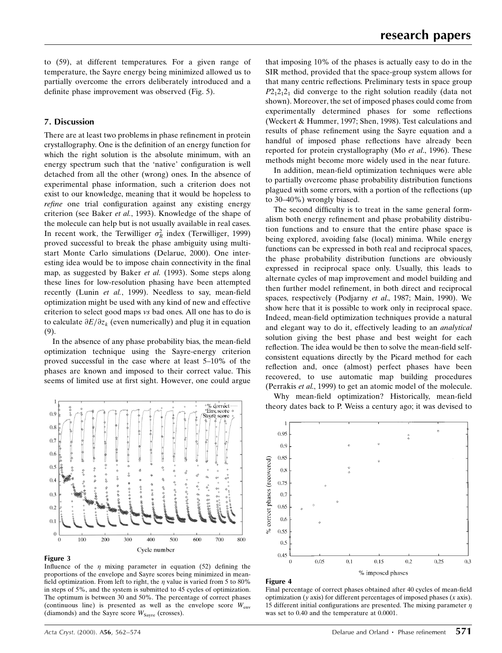to (59), at different temperatures. For a given range of temperature, the Sayre energy being minimized allowed us to partially overcome the errors deliberately introduced and a definite phase improvement was observed (Fig. 5).

## 7. Discussion

There are at least two problems in phase refinement in protein crystallography. One is the definition of an energy function for which the right solution is the absolute minimum, with an energy spectrum such that the 'native' configuration is well detached from all the other (wrong) ones. In the absence of experimental phase information, such a criterion does not exist to our knowledge, meaning that it would be hopeless to refine one trial configuration against any existing energy criterion (see Baker et al., 1993). Knowledge of the shape of the molecule can help but is not usually available in real cases. In recent work, the Terwilliger  $\sigma_R^2$  index (Terwilliger, 1999) proved successful to break the phase ambiguity using multistart Monte Carlo simulations (Delarue, 2000). One interesting idea would be to impose chain connectivity in the final map, as suggested by Baker et al. (1993). Some steps along these lines for low-resolution phasing have been attempted recently (Lunin et al., 1999). Needless to say, mean-field optimization might be used with any kind of new and effective criterion to select good maps vs bad ones. All one has to do is to calculate  $\partial E/\partial z_k$  (even numerically) and plug it in equation (9).

In the absence of any phase probability bias, the mean-field optimization technique using the Sayre-energy criterion proved successful in the case where at least 5-10% of the phases are known and imposed to their correct value. This seems of limited use at first sight. However, one could argue



## Figure 3

Influence of the  $\eta$  mixing parameter in equation (52) defining the proportions of the envelope and Sayre scores being minimized in mean field optimization. From left to right, the  $\eta$  value is varied from 5 to 80% in steps of 5%, and the system is submitted to 45 cycles of optimization. The optimum is between 30 and 50%. The percentage of correct phases (continuous line) is presented as well as the envelope score  $W_{env}$ (diamonds) and the Sayre score  $W_{\text{Savre}}$  (crosses).

that imposing 10% of the phases is actually easy to do in the SIR method, provided that the space-group system allows for that many centric reflections. Preliminary tests in space group  $P2_12_12_1$  did converge to the right solution readily (data not shown). Moreover, the set of imposed phases could come from experimentally determined phases for some reflections (Weckert & Hummer, 1997; Shen, 1998). Test calculations and results of phase refinement using the Sayre equation and a handful of imposed phase reflections have already been reported for protein crystallography (Mo et al., 1996). These methods might become more widely used in the near future.

In addition, mean-field optimization techniques were able to partially overcome phase probability distribution functions plagued with some errors, with a portion of the reflections (up to  $30-40\%$ ) wrongly biased.

The second difficulty is to treat in the same general formalism both energy refinement and phase probability distribution functions and to ensure that the entire phase space is being explored, avoiding false (local) minima. While energy functions can be expressed in both real and reciprocal spaces, the phase probability distribution functions are obviously expressed in reciprocal space only. Usually, this leads to alternate cycles of map improvement and model building and then further model refinement, in both direct and reciprocal spaces, respectively (Podiarny et al., 1987; Main, 1990). We show here that it is possible to work only in reciprocal space. Indeed, mean-field optimization techniques provide a natural and elegant way to do it, effectively leading to an analytical solution giving the best phase and best weight for each reflection. The idea would be then to solve the mean-field selfconsistent equations directly by the Picard method for each reflection and, once (almost) perfect phases have been recovered, to use automatic map building procedures (Perrakis et al., 1999) to get an atomic model of the molecule.

Why mean-field optimization? Historically, mean-field theory dates back to P. Weiss a century ago; it was devised to



#### Figure 4

Final percentage of correct phases obtained after 40 cycles of mean-field optimization ( $y$  axis) for different percentages of imposed phases  $(x \text{ axis})$ . 15 different initial configurations are presented. The mixing parameter  $\eta$ was set to 0.40 and the temperature at 0.0001.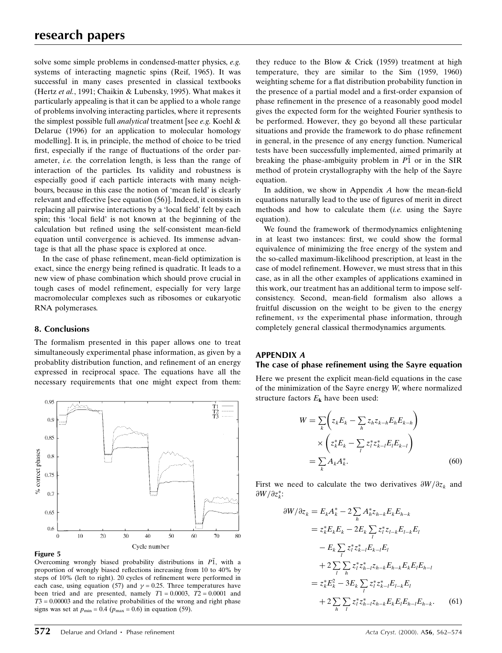solve some simple problems in condensed-matter physics, e.g. systems of interacting magnetic spins (Reif, 1965). It was successful in many cases presented in classical textbooks (Hertz et al., 1991; Chaikin & Lubensky, 1995). What makes it particularly appealing is that it can be applied to a whole range of problems involving interacting particles, where it represents the simplest possible full analytical treatment [see e.g. Koehl & Delarue (1996) for an application to molecular homology modelling]. It is, in principle, the method of choice to be tried first, especially if the range of fluctuations of the order parameter, *i.e.* the correlation length, is less than the range of interaction of the particles. Its validity and robustness is especially good if each particle interacts with many neighbours, because in this case the notion of 'mean field' is clearly relevant and effective [see equation (56)]. Indeed, it consists in replacing all pairwise interactions by a 'local field' felt by each spin; this 'local field' is not known at the beginning of the calculation but refined using the self-consistent mean-field equation until convergence is achieved. Its immense advantage is that all the phase space is explored at once.

In the case of phase refinement, mean-field optimization is exact, since the energy being refined is quadratic. It leads to a new view of phase combination which should prove crucial in tough cases of model refinement, especially for very large macromolecular complexes such as ribosomes or eukaryotic RNA polymerases.

## 8. Conclusions

The formalism presented in this paper allows one to treat simultaneously experimental phase information, as given by a probablity distribution function, and refinement of an energy expressed in reciprocal space. The equations have all the necessary requirements that one might expect from them:



#### Figure 5

Overcoming wrongly biased probability distributions in P1, with a proportion of wrongly biased reflections increasing from 10 to 40% by steps of 10% (left to right). 20 cycles of refinement were performed in each case, using equation (57) and  $v = 0.25$ . Three temperatures have been tried and are presented, namely  $T1 = 0.0003$ ,  $T2 = 0.0001$  and  $T3 = 0.00003$  and the relative probabilities of the wrong and right phase signs was set at  $p_{\min} = 0.4$  ( $p_{\max} = 0.6$ ) in equation (59).

they reduce to the Blow & Crick (1959) treatment at high temperature, they are similar to the Sim (1959, 1960) weighting scheme for a flat distribution probability function in the presence of a partial model and a first-order expansion of phase refinement in the presence of a reasonably good model gives the expected form for the weighted Fourier synthesis to be performed. However, they go beyond all these particular situations and provide the framework to do phase refinement in general, in the presence of any energy function. Numerical tests have been successfully implemented, aimed primarily at breaking the phase-ambiguity problem in P1 or in the SIR method of protein crystallography with the help of the Sayre equation.

In addition, we show in Appendix  $A$  how the mean-field equations naturally lead to the use of figures of merit in direct methods and how to calculate them  $(i.e.$  using the Sayre equation).

We found the framework of thermodynamics enlightening in at least two instances: first, we could show the formal equivalence of minimizing the free energy of the system and the so-called maximum-likelihood prescription, at least in the case of model refinement. However, we must stress that in this case, as in all the other examples of applications examined in this work, our treatment has an additional term to impose selfconsistency. Second, mean-field formalism also allows a fruitful discussion on the weight to be given to the energy refinement, *vs* the experimental phase information, through completely general classical thermodynamics arguments.

## APPENDIX A

## The case of phase refinement using the Sayre equation

Here we present the explicit mean-field equations in the case of the minimization of the Sayre energy W, where normalized structure factors  $E_{\mathbf{k}}$  have been used:

$$
W = \sum_{k} \left( z_{k} E_{k} - \sum_{h} z_{h} z_{k-h} E_{h} E_{k-h} \right)
$$

$$
\times \left( z_{k}^{*} E_{k} - \sum_{l} z_{l}^{*} z_{k-l}^{*} E_{l} E_{k-l} \right)
$$

$$
= \sum_{k} A_{k} A_{k}^{*}.
$$
(60)

First we need to calculate the two derivatives  $\partial W/\partial z_k$  and  $\partial W / \partial z_k^*$ :

$$
\partial W/\partial z_{k} = E_{k}A_{k}^{*} - 2\sum_{h} A_{h}^{*}z_{h-k}E_{k}E_{h-k}
$$
  
\n
$$
= z_{k}^{*}E_{k}E_{k} - 2E_{k}\sum_{l} z_{l}^{*}z_{l-k}E_{l-k}E_{l}
$$
  
\n
$$
- E_{k}\sum_{l} z_{l}^{*}z_{k-l}^{*}E_{k-l}E_{l}
$$
  
\n
$$
+ 2\sum_{l} \sum_{h} z_{l}^{*}z_{h-l}^{*}z_{h-k}E_{h-k}E_{k}E_{l}E_{h-l}
$$
  
\n
$$
= z_{k}^{*}E_{k}^{2} - 3E_{k}\sum_{l} z_{l}^{*}z_{k-l}^{*}E_{l-k}E_{l}
$$
  
\n
$$
+ 2\sum_{h} \sum_{l} z_{l}^{*}z_{h-l}^{*}z_{h-k}E_{k}E_{l}E_{h-l}E_{h-k}. \qquad (61)
$$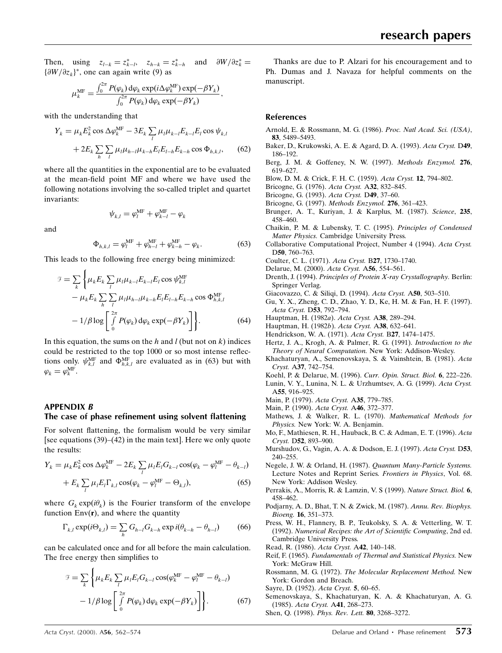Then, using  $z_{l-k} = z_{k-l}^*$ ,  $z_{h-k} = z_k^*$  $\sum_{k=h}^{*}$  and  $\partial W/\partial z_k^* =$  $\{\partial W/\partial z_k\}^*$ , one can again write (9) as

$$
\mu_k^{\text{MF}} = \frac{\int_0^{2\pi} P(\varphi_k) \, \text{d}\varphi_k \, \text{exp}(i \Delta \varphi_k^{\text{MF}}) \, \text{exp}(-\beta Y_k)}{\int_0^{2\pi} P(\varphi_k) \, \text{d}\varphi_k \, \text{exp}(-\beta Y_k)},
$$

with the understanding that

$$
Y_k = \mu_k E_k^2 \cos \Delta \varphi_k^{\text{MF}} - 3E_k \sum_l \mu_l \mu_{k-l} E_{k-l} E_l \cos \psi_{k,l}
$$
  
+ 
$$
2E_k \sum_h \sum_l \mu_l \mu_{h-l} \mu_{k-h} E_l E_{l-h} E_{k-h} \cos \Phi_{h,k,l}, \qquad (62)
$$

where all the quantities in the exponential are to be evaluated at the mean-field point MF and where we have used the following notations involving the so-called triplet and quartet invariants:

$$
\psi_{k,l} = \varphi_l^{\text{MF}} + \varphi_{k-l}^{\text{MF}} - \varphi_k
$$

and

$$
\Phi_{h,k,l} = \varphi_l^{\text{MF}} + \varphi_{h-l}^{\text{MF}} + \varphi_{k-h}^{\text{MF}} - \varphi_k. \tag{63}
$$

This leads to the following free energy being minimized:

$$
\mathcal{F} = \sum_{k} \left\{ \mu_{k} E_{k} \sum_{l} \mu_{l} \mu_{k-l} E_{k-l} E_{l} \cos \psi_{k,l}^{\text{MF}} - \mu_{k} E_{k} \sum_{h} \sum_{l} \mu_{l} \mu_{h-l} \mu_{k-h} E_{l} E_{l-h} E_{k-h} \cos \Phi_{h,k,l}^{\text{MF}} - 1/\beta \log \left[ \int_{0}^{2\pi} P(\varphi_{k}) \, d\varphi_{k} \exp(-\beta Y_{k}) \right] \right\}.
$$
 (64)

In this equation, the sums on the h and l (but not on k) indices could be restricted to the top 1000 or so most intense reflections only.  $\psi_{k,l}^{\text{MF}}$  and  $\Phi_{h,k,l}^{\text{MF}}$  are evaluated as in (63) but with  $\varphi_k = \varphi_k^{\text{MF}}.$ 

## APPENDIX B

#### The case of phase refinement using solvent flattening

For solvent flattening, the formalism would be very similar [see equations  $(39)-(42)$  in the main text]. Here we only quote the results:

$$
Y_k = \mu_k E_k^2 \cos \Delta \varphi_k^{\text{MF}} - 2E_k \sum_l \mu_l E_l G_{k-l} \cos(\varphi_k - \varphi_l^{\text{MF}} - \theta_{k-l})
$$
  
+ 
$$
E_k \sum_l \mu_l E_l \Gamma_{k,l} \cos(\varphi_k - \varphi_l^{\text{MF}} - \Theta_{k,l}),
$$
 (65)

where  $G_k \exp(i\theta_k)$  is the Fourier transform of the envelope function  $Env(r)$ , and where the quantity

$$
\Gamma_{k,l} \exp(i\Theta_{k,l}) = \sum_{h} G_{h-l} G_{k-h} \exp i(\theta_{k-h} - \theta_{h-l}) \tag{66}
$$

can be calculated once and for all before the main calculation. The free energy then simplifies to

$$
\mathcal{F} = \sum_{k} \left\{ \mu_{k} E_{k} \sum_{l} \mu_{l} E_{l} G_{k-l} \cos(\varphi_{k}^{\text{MF}} - \varphi_{l}^{\text{MF}} - \theta_{k-l}) - 1/\beta \log \left[ \int_{0}^{2\pi} P(\varphi_{k}) d\varphi_{k} \exp(-\beta Y_{k}) \right] \right\}.
$$
 (67)

Thanks are due to P. Alzari for his encouragement and to Ph. Dumas and J. Navaza for helpful comments on the manuscript.

#### References

- Arnold, E. & Rossmann, M. G. (1986). Proc. Natl Acad. Sci. (USA), 83, 5489±5493.
- Baker, D., Krukowski, A. E. & Agard, D. A. (1993). Acta Cryst. D49, 186±192.
- Berg, J. M. & Goffeney, N. W. (1997). Methods Enzymol. 276, 619±627.

Blow, D. M. & Crick, F. H. C. (1959). Acta Cryst. 12, 794-802.

- Bricogne, G. (1976). Acta Cryst. A32, 832-845.
- Bricogne, G. (1993). Acta Cryst. D49, 37-60.
- Bricogne, G. (1997). Methods Enzymol. 276, 361-423.
- Brunger, A. T., Kuriyan, J. & Karplus, M. (1987). Science, 235, 458±460.
- Chaikin, P. M. & Lubensky, T. C. (1995). Principles of Condensed Matter Physics. Cambridge University Press.
- Collaborative Computational Project, Number 4 (1994). Acta Cryst. D50, 760-763.
- Coulter, C. L. (1971). Acta Cryst. B27, 1730-1740.
- Delarue, M. (2000). Acta Cryst. A56, 554-561.
- Drenth, J. (1994). Principles of Protein X-ray Crystallography. Berlin: Springer Verlag.
- Giacovazzo, C. & Siliqi, D. (1994). Acta Cryst. A50, 503-510.
- Gu, Y. X., Zheng, C. D., Zhao, Y. D., Ke, H. M. & Fan, H. F. (1997). Acta Cryst. D53, 792-794.
- Hauptman, H. (1982a). Acta Cryst. A38, 289-294.
- Hauptman, H. (1982b). Acta Cryst. A38, 632-641.
- Hendrickson, W. A. (1971). Acta Cryst. B27, 1474-1475.
- Hertz, J. A., Krogh, A. & Palmer, R. G. (1991). Introduction to the Theory of Neural Computation. New York: Addison-Wesley.
- Khachaturyan, A., Semenovskaya, S. & Vainshtein, B. (1981). Acta Cryst. A37, 742-754.
- Koehl, P. & Delarue, M. (1996). Curr. Opin. Struct. Biol. 6, 222-226.
- Lunin, V. Y., Lunina, N. L. & Urzhumtsev, A. G. (1999). Acta Cryst. A55, 916-925.
- Main, P. (1979). Acta Cryst. A35, 779-785.
- Main, P. (1990). Acta Cryst. A46, 372-377.
- Mathews, J. & Walker, R. L. (1970). Mathematical Methods for Physics. New York: W. A. Benjamin.
- Mo, F., Mathiesen, R. H., Hauback, B. C. & Adman, E. T. (1996). Acta Cryst. D52, 893-900.
- Murshudov, G., Vagin, A. A. & Dodson, E. J. (1997). Acta Cryst. D53, 240-255.
- Negele, J. W. & Orland, H. (1987). Quantum Many-Particle Systems. Lecture Notes and Reprint Series. Frontiers in Physics, Vol. 68. New York: Addison Wesley.
- Perrakis, A., Morris, R. & Lamzin, V. S (1999). Nature Struct. Biol. 6, 458±462.
- Podjarny, A. D., Bhat, T. N. & Zwick, M. (1987). Annu. Rev. Biophys. Bioeng. 16, 351-373.
- Press, W. H., Flannery, B. P., Teukolsky, S. A. & Vetterling, W. T. (1992). Numerical Recipes: the Art of Scientific Computing, 2nd ed. Cambridge University Press.

Read, R. (1986). Acta Cryst. A42, 140-148.

- Reif, F. (1965). Fundamentals of Thermal and Statistical Physics. New York: McGraw Hill.
- Rossmann, M. G. (1972). The Molecular Replacement Method. New York: Gordon and Breach.

Sayre, D. (1952). Acta Cryst. 5, 60-65.

- Semenovskaya, S., Khachaturyan, K. A. & Khachaturyan, A. G. (1985). Acta Cryst. A41, 268-273.
- Shen, O. (1998). Phys. Rev. Lett. 80, 3268-3272.